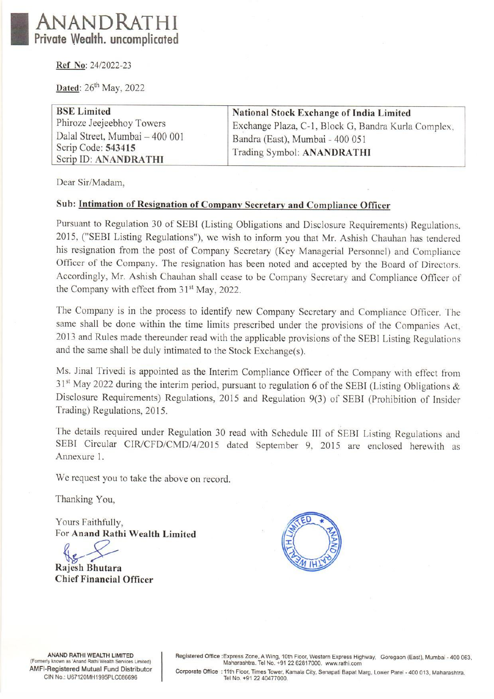

| NANDRATHI                                                   |                                                     |
|-------------------------------------------------------------|-----------------------------------------------------|
| ate Wealth. uncomplicated                                   |                                                     |
|                                                             |                                                     |
| Ref No: 24/2022-23                                          |                                                     |
| Dated: 26 <sup>th</sup> May, 2022                           |                                                     |
| <b>BSE Limited</b>                                          | National Stock Exchange of India Limited            |
| Phiroze Jeejeebhoy Towers<br>Dalal Street, Mumbai - 400 001 | Exchange Plaza, C-1, Block G, Bandra Kurla Complex, |
| Scrip Code: 543415                                          | Bandra (East), Mumbai - 400 051                     |
| Scrip ID: ANANDRATHI                                        | Trading Symbol: ANANDRATHI                          |

Dear Sir/Madam,

## Sub: Intimation of Resignation of Company Secretary and Compliance Officer

Pursuant to Regulation 30 of SEBI (Listing Obligations and Disclosure Requirements) Regulations. 2015, ("SEBI Listing Regulations"), we wish to inform you that Mr. Ashish Chauhan has tendered his resignation from the post of Company Secretary (Key Managerial Personnel) and Compliance Officer of the Company. The resignation has been noted and accepted by the Board of Directors Accordingly, Mr. Ashish Chauhan shall cease to be Company Secretary and Compliance Officer of the Company with effect from 31<sup>st</sup> May, 2022.

The Company is in the process to identify new Company Secretary and Compliance Officer. The same shall be done within the time limits prescribed under the provisions of the Companies Act, 2013 and Rules made thereunder read with the applicable provisions of the SEBI Listing Regulations and the same shall be duly intimated to the Stock Exchange(s).

Ms. Jinal Trivedi is appointed as the Interim Compliance Officer of the Company with effect from  $31<sup>st</sup>$  May 2022 during the interim period, pursuant to regulation 6 of the SEBI (Listing Obligations & Disclosure Requirements) Regulations, 2015 and Regulation 9(3) of SEBI (Prohibition of Insider Trading) Regulations, 2015.

The details required under Regulation 30 read with Schedule III of SEBI Listing Regulations and SEBI Circular CIR/CFD/CMD/4/2015 dated September 9, 2015 are enclosed herewith as Annexure 1.

We request you to take the above on record.

Thanking You,

Yours Faithfully, For Anand Rathi Wealth Limited

Rajesh Bhutara

Chief Financial Officer



, 10th Floor, 1<br>91 22 62817<br>Pr, Kamala Ci<br>000. Registered Office :Express Zone, A Wing, 10th Floor, Western Express Highway, Goregaon (East), Mumbai - 400 063, Maharashtra. Tel No. +91 22 62817000. www.rathi.com